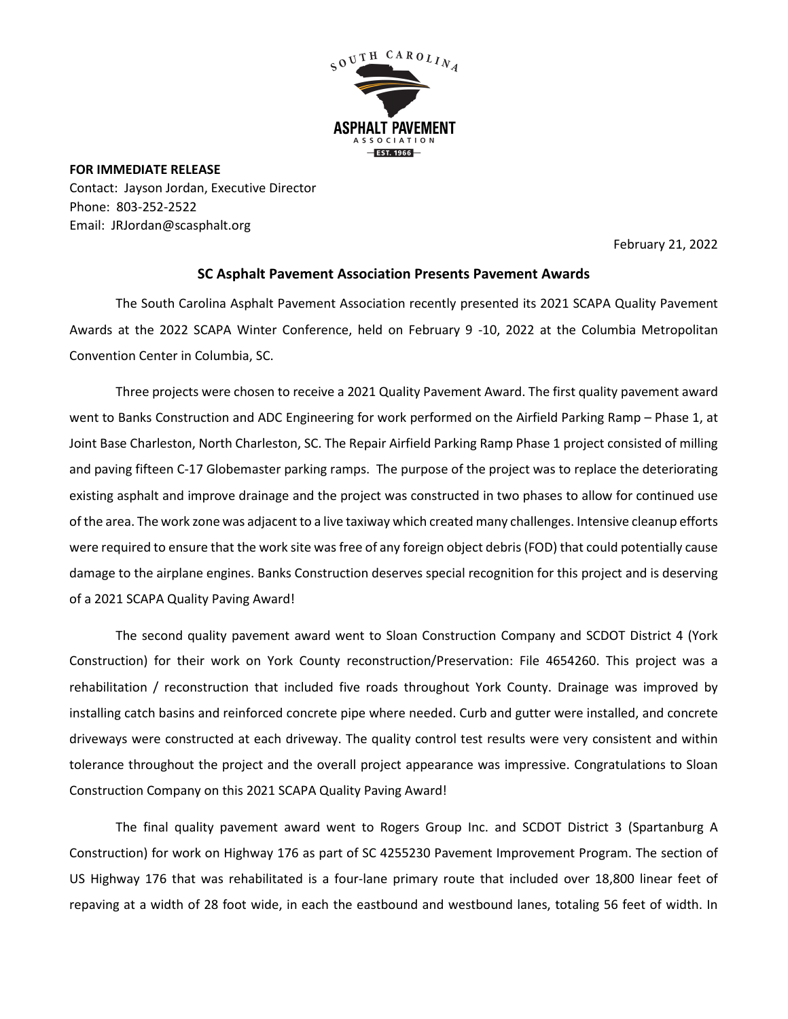

**FOR IMMEDIATE RELEASE** Contact: Jayson Jordan, Executive Director Phone: 803-252-2522 Email: JRJordan@scasphalt.org

February 21, 2022

## **SC Asphalt Pavement Association Presents Pavement Awards**

The South Carolina Asphalt Pavement Association recently presented its 2021 SCAPA Quality Pavement Awards at the 2022 SCAPA Winter Conference, held on February 9 -10, 2022 at the Columbia Metropolitan Convention Center in Columbia, SC.

Three projects were chosen to receive a 2021 Quality Pavement Award. The first quality pavement award went to Banks Construction and ADC Engineering for work performed on the Airfield Parking Ramp – Phase 1, at Joint Base Charleston, North Charleston, SC. The Repair Airfield Parking Ramp Phase 1 project consisted of milling and paving fifteen C-17 Globemaster parking ramps. The purpose of the project was to replace the deteriorating existing asphalt and improve drainage and the project was constructed in two phases to allow for continued use of the area. The work zone was adjacent to a live taxiway which created many challenges. Intensive cleanup efforts were required to ensure that the work site was free of any foreign object debris (FOD) that could potentially cause damage to the airplane engines. Banks Construction deserves special recognition for this project and is deserving of a 2021 SCAPA Quality Paving Award!

The second quality pavement award went to Sloan Construction Company and SCDOT District 4 (York Construction) for their work on York County reconstruction/Preservation: File 4654260. This project was a rehabilitation / reconstruction that included five roads throughout York County. Drainage was improved by installing catch basins and reinforced concrete pipe where needed. Curb and gutter were installed, and concrete driveways were constructed at each driveway. The quality control test results were very consistent and within tolerance throughout the project and the overall project appearance was impressive. Congratulations to Sloan Construction Company on this 2021 SCAPA Quality Paving Award!

The final quality pavement award went to Rogers Group Inc. and SCDOT District 3 (Spartanburg A Construction) for work on Highway 176 as part of SC 4255230 Pavement Improvement Program. The section of US Highway 176 that was rehabilitated is a four-lane primary route that included over 18,800 linear feet of repaving at a width of 28 foot wide, in each the eastbound and westbound lanes, totaling 56 feet of width. In